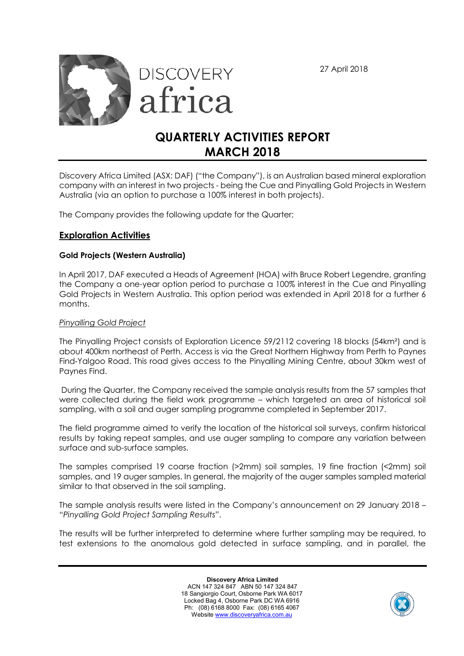27 April 2018



# **QUARTERLY ACTIVITIES REPORT MARCH 2018**

Discovery Africa Limited (ASX: DAF) ("the Company"), is an Australian based mineral exploration company with an interest in two projects - being the Cue and Pinyalling Gold Projects in Western Australia (via an option to purchase a 100% interest in both projects).

The Company provides the following update for the Quarter;

# **Exploration Activities**

# **Gold Projects (Western Australia)**

In April 2017, DAF executed a Heads of Agreement (HOA) with Bruce Robert Legendre, granting the Company a one-year option period to purchase a 100% interest in the Cue and Pinyalling Gold Projects in Western Australia. This option period was extended in April 2018 for a further 6 months.

## *Pinyalling Gold Project*

The Pinyalling Project consists of Exploration Licence 59/2112 covering 18 blocks (54km²) and is about 400km northeast of Perth. Access is via the Great Northern Highway from Perth to Paynes Find-Yalgoo Road. This road gives access to the Pinyalling Mining Centre, about 30km west of Paynes Find.

 During the Quarter, the Company received the sample analysis results from the 57 samples that were collected during the field work programme – which targeted an area of historical soil sampling, with a soil and auger sampling programme completed in September 2017.

The field programme aimed to verify the location of the historical soil surveys, confirm historical results by taking repeat samples, and use auger sampling to compare any variation between surface and sub-surface samples.

The samples comprised 19 coarse fraction (>2mm) soil samples, 19 fine fraction (<2mm) soil samples, and 19 auger samples. In general, the majority of the auger samples sampled material similar to that observed in the soil sampling.

The sample analysis results were listed in the Company's announcement on 29 January 2018 – "*Pinyalling Gold Project Sampling Results*".

The results will be further interpreted to determine where further sampling may be required, to test extensions to the anomalous gold detected in surface sampling, and in parallel, the

> **Discovery Africa Limited** ACN 147 324 847 ABN 50 147 324 847 18 Sangiorgio Court, Osborne Park WA 6017 Locked Bag 4, Osborne Park DC WA 6916 Ph: (08) 6168 8000 Fax: (08) 6165 4067 Website www.discoveryafrica.com.au

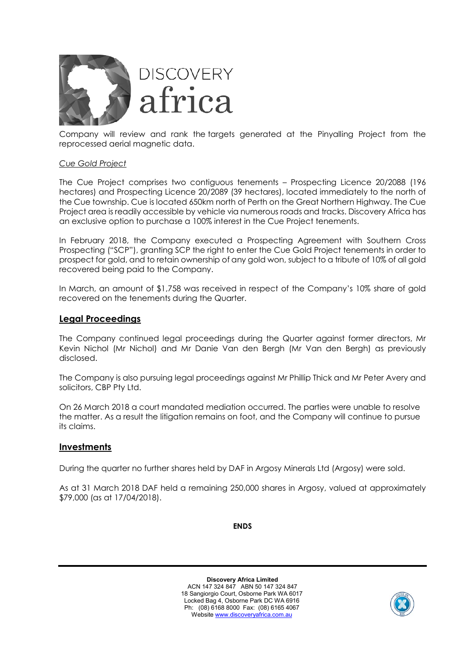

Company will review and rank the targets generated at the Pinyalling Project from the reprocessed aerial magnetic data.

#### *Cue Gold Project*

The Cue Project comprises two contiguous tenements – Prospecting Licence 20/2088 (196 hectares) and Prospecting Licence 20/2089 (39 hectares), located immediately to the north of the Cue township. Cue is located 650km north of Perth on the Great Northern Highway. The Cue Project area is readily accessible by vehicle via numerous roads and tracks. Discovery Africa has an exclusive option to purchase a 100% interest in the Cue Project tenements.

In February 2018, the Company executed a Prospecting Agreement with Southern Cross Prospecting ("SCP"), granting SCP the right to enter the Cue Gold Project tenements in order to prospect for gold, and to retain ownership of any gold won, subject to a tribute of 10% of all gold recovered being paid to the Company.

In March, an amount of \$1,758 was received in respect of the Company's 10% share of gold recovered on the tenements during the Quarter.

## **Legal Proceedings**

The Company continued legal proceedings during the Quarter against former directors, Mr Kevin Nichol (Mr Nichol) and Mr Danie Van den Bergh (Mr Van den Bergh) as previously disclosed.

The Company is also pursuing legal proceedings against Mr Phillip Thick and Mr Peter Avery and solicitors, CBP Pty Ltd.

On 26 March 2018 a court mandated mediation occurred. The parties were unable to resolve the matter. As a result the litigation remains on foot, and the Company will continue to pursue its claims.

#### **Investments**

During the quarter no further shares held by DAF in Argosy Minerals Ltd (Argosy) were sold.

As at 31 March 2018 DAF held a remaining 250,000 shares in Argosy, valued at approximately \$79,000 (as at 17/04/2018).

**ENDS** 

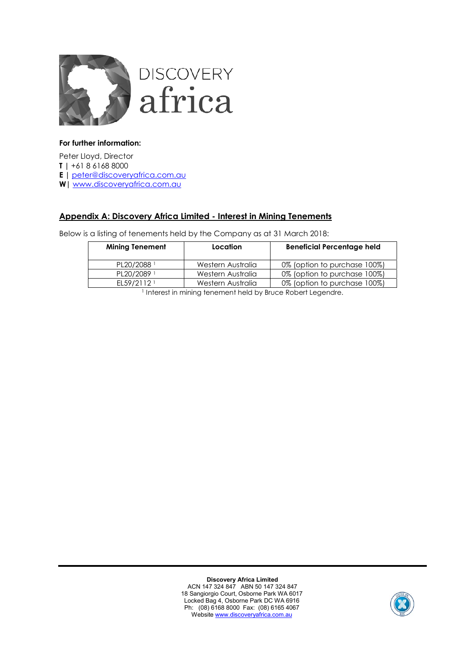

## **For further information:**

Peter Lloyd, Director

**T |** +61 8 6168 8000

**E |** peter@discoveryafrica.com.au

**W|** www.discoveryafrica.com.au

# **Appendix A: Discovery Africa Limited - Interest in Mining Tenements**

Below is a listing of tenements held by the Company as at 31 March 2018:

| <b>Mining Tenement</b> | Location          | <b>Beneficial Percentage held</b> |
|------------------------|-------------------|-----------------------------------|
| PL20/2088 <sup>1</sup> | Western Australia | 0% (option to purchase 100%)      |
| PL20/2089 <sup>1</sup> | Western Australia | 0% (option to purchase 100%)      |
| EL59/2112 <sup>1</sup> | Western Australia | 0% (option to purchase 100%)      |
| .                      | $\sim$            |                                   |

<sup>1</sup> Interest in mining tenement held by Bruce Robert Legendre.

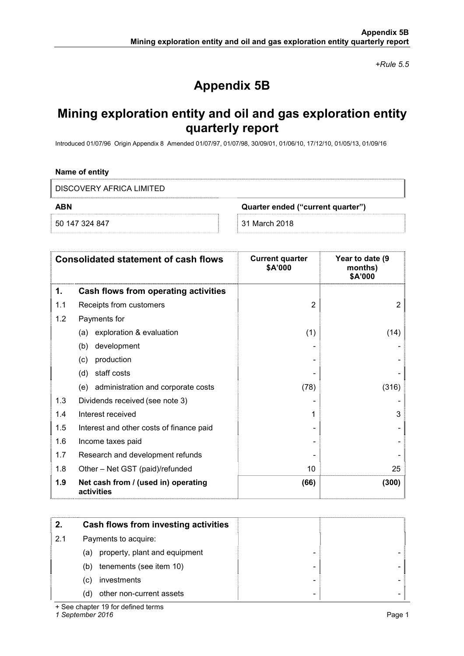*+Rule 5.5* 

# **Appendix 5B**

# **Mining exploration entity and oil and gas exploration entity quarterly report**

Introduced 01/07/96 Origin Appendix 8 Amended 01/07/97, 01/07/98, 30/09/01, 01/06/10, 17/12/10, 01/05/13, 01/09/16

### **Name of entity**

DISCOVERY AFRICA LIMITED

**ABN Quarter ended ("current quarter")** 

50 147 324 847 31 March 2018

|     | <b>Consolidated statement of cash flows</b>       | <b>Current quarter</b><br>\$A'000 | Year to date (9<br>months)<br>\$A'000 |
|-----|---------------------------------------------------|-----------------------------------|---------------------------------------|
| 1.  | Cash flows from operating activities              |                                   |                                       |
| 1.1 | Receipts from customers                           | $\overline{2}$                    | $\overline{2}$                        |
| 1.2 | Payments for                                      |                                   |                                       |
|     | exploration & evaluation<br>(a)                   | (1)                               | (14)                                  |
|     | development<br>(b)                                |                                   |                                       |
|     | production<br>(c)                                 |                                   |                                       |
|     | staff costs<br>(d)                                |                                   |                                       |
|     | (e) administration and corporate costs            | (78)                              | (316)                                 |
| 1.3 | Dividends received (see note 3)                   |                                   |                                       |
| 1.4 | Interest received                                 |                                   | 3                                     |
| 1.5 | Interest and other costs of finance paid          |                                   |                                       |
| 1.6 | Income taxes paid                                 |                                   |                                       |
| 1.7 | Research and development refunds                  |                                   |                                       |
| 1.8 | Other – Net GST (paid)/refunded                   | 10                                | 25                                    |
| 1.9 | Net cash from / (used in) operating<br>activities | (66)                              | (300)                                 |

| 2.  | Cash flows from investing activities |  |
|-----|--------------------------------------|--|
| 2.1 | Payments to acquire:                 |  |
|     | property, plant and equipment<br>(a) |  |
|     | tenements (see item 10)<br>(b)       |  |
|     | investments<br>(C)                   |  |
|     | other non-current assets<br>(d)      |  |

+ See chapter 19 for defined terms

*1 September 2016* Page 1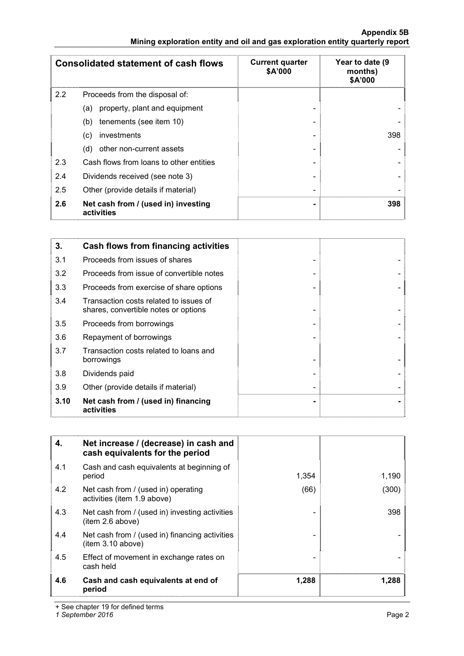#### **Appendix 5B Mining exploration entity and oil and gas exploration entity quarterly report**

|     | <b>Consolidated statement of cash flows</b>       | <b>Current quarter</b><br>\$A'000 | Year to date (9<br>months)<br>\$A'000 |
|-----|---------------------------------------------------|-----------------------------------|---------------------------------------|
| 2.2 | Proceeds from the disposal of:                    |                                   |                                       |
|     | property, plant and equipment<br>(a)              |                                   |                                       |
|     | tenements (see item 10)<br>(b)                    |                                   |                                       |
|     | investments<br>(c)                                |                                   | 398                                   |
|     | other non-current assets<br>(d)                   |                                   |                                       |
| 2.3 | Cash flows from loans to other entities           |                                   |                                       |
| 2.4 | Dividends received (see note 3)                   |                                   |                                       |
| 2.5 | Other (provide details if material)               |                                   |                                       |
| 2.6 | Net cash from / (used in) investing<br>activities |                                   | 398                                   |

| 3.   | Cash flows from financing activities                                           |  |
|------|--------------------------------------------------------------------------------|--|
| 3.1  | Proceeds from issues of shares                                                 |  |
| 3.2  | Proceeds from issue of convertible notes                                       |  |
| 3.3  | Proceeds from exercise of share options                                        |  |
| 3.4  | Transaction costs related to issues of<br>shares, convertible notes or options |  |
| 3.5  | Proceeds from borrowings                                                       |  |
| 3.6  | Repayment of borrowings                                                        |  |
| 3.7  | Transaction costs related to loans and<br>borrowings                           |  |
| 3.8  | Dividends paid                                                                 |  |
| 3.9  | Other (provide details if material)                                            |  |
| 3.10 | Net cash from / (used in) financing<br>activities                              |  |

| 4.  | Net increase / (decrease) in cash and<br>cash equivalents for the period |       |       |
|-----|--------------------------------------------------------------------------|-------|-------|
| 4.1 | Cash and cash equivalents at beginning of<br>period                      | 1,354 | 1,190 |
| 4.2 | Net cash from / (used in) operating<br>activities (item 1.9 above)       | (66)  | (300) |
| 4.3 | Net cash from / (used in) investing activities<br>(item 2.6 above)       |       | 398   |
| 4.4 | Net cash from / (used in) financing activities<br>(item 3.10 above)      |       |       |
| 4.5 | Effect of movement in exchange rates on<br>cash held                     |       |       |
| 4.6 | Cash and cash equivalents at end of<br>period                            | 1,288 | 1.288 |

+ See chapter 19 for defined terms

*1 September 2016* Page 2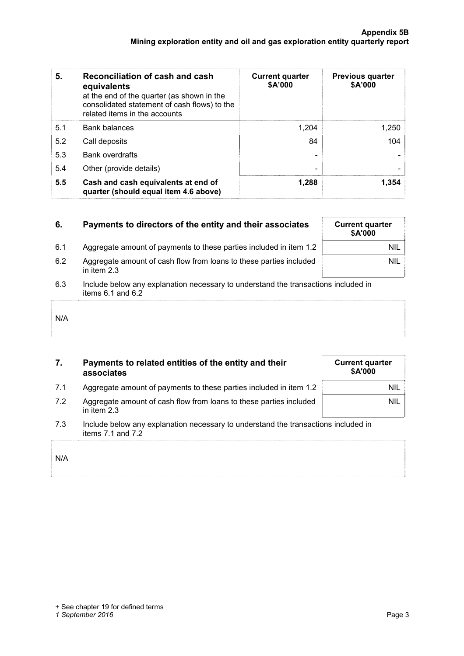| 5.  | Reconciliation of cash and cash<br>equivalents<br>at the end of the quarter (as shown in the<br>consolidated statement of cash flows) to the<br>related items in the accounts | <b>Current quarter</b><br>\$A'000 | <b>Previous quarter</b><br>\$A'000 |
|-----|-------------------------------------------------------------------------------------------------------------------------------------------------------------------------------|-----------------------------------|------------------------------------|
| 5.1 | <b>Bank balances</b>                                                                                                                                                          | 1,204                             | 1,250                              |
| 5.2 | Call deposits                                                                                                                                                                 | 84                                | 104                                |
| 5.3 | <b>Bank overdrafts</b>                                                                                                                                                        |                                   |                                    |
| 5.4 | Other (provide details)                                                                                                                                                       | $\overline{\phantom{0}}$          |                                    |
| 5.5 | Cash and cash equivalents at end of<br>quarter (should equal item 4.6 above)                                                                                                  | 1,288                             | 1,354                              |

| 6.  | Payments to directors of the entity and their associates                                                    | <b>Current quarter</b><br>\$A'000 |
|-----|-------------------------------------------------------------------------------------------------------------|-----------------------------------|
| 6.1 | Aggregate amount of payments to these parties included in item 1.2                                          | <b>NIL</b>                        |
| 6.2 | Aggregate amount of cash flow from loans to these parties included<br>in item $2.3$                         | <b>NIL</b>                        |
| 6.3 | Include below any explanation necessary to understand the transactions included in<br>items $6.1$ and $6.2$ |                                   |
|     |                                                                                                             |                                   |

|     | Payments to related entities of the entity and their | <b>Current quarter</b> |
|-----|------------------------------------------------------|------------------------|
|     |                                                      |                        |
|     |                                                      |                        |
| N/A |                                                      |                        |

|     | Payments to related entities or the entity and their<br>associates                  | <b>UUITEIIL YUALLEI</b><br><b>\$A'000</b> |
|-----|-------------------------------------------------------------------------------------|-------------------------------------------|
| 7.1 | Aggregate amount of payments to these parties included in item 1.2                  | nil                                       |
| 7.2 | Aggregate amount of cash flow from loans to these parties included<br>in item $2.3$ | NIL                                       |

<sup>7.3</sup> Include below any explanation necessary to understand the transactions included in items 7.1 and 7.2

| $\overline{\big \big }$ N/A |  |  |  |
|-----------------------------|--|--|--|
|                             |  |  |  |
|                             |  |  |  |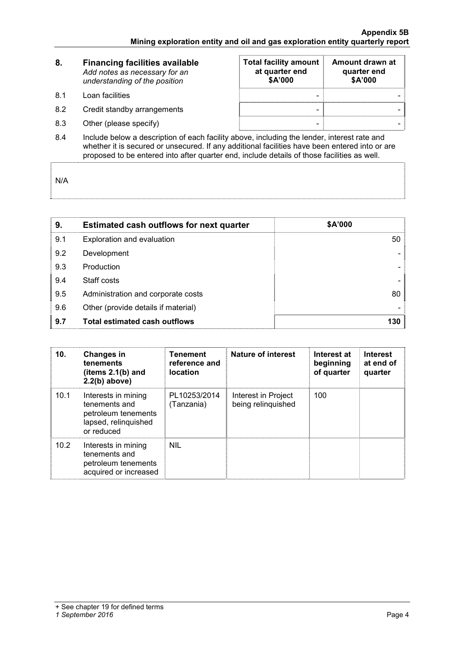| 8.  | <b>Financing facilities available</b><br>Add notes as necessary for an<br>understanding of the position | <b>Total facility amount</b><br>at quarter end<br>\$A'000 | Amount drawn at<br>quarter end<br>\$A'000 |
|-----|---------------------------------------------------------------------------------------------------------|-----------------------------------------------------------|-------------------------------------------|
| 8.1 | Loan facilities                                                                                         |                                                           |                                           |
| 8.2 | Credit standby arrangements                                                                             |                                                           |                                           |
| 8.3 | Other (please specify)                                                                                  | -                                                         |                                           |

8.4 Include below a description of each facility above, including the lender, interest rate and whether it is secured or unsecured. If any additional facilities have been entered into or are proposed to be entered into after quarter end, include details of those facilities as well.

N/A

| 9.  | <b>Estimated cash outflows for next quarter</b> | \$A'000         |
|-----|-------------------------------------------------|-----------------|
| 9.1 | Exploration and evaluation                      | 50 <sup>1</sup> |
| 9.2 | Development                                     |                 |
| 9.3 | Production                                      |                 |
| 9.4 | Staff costs                                     |                 |
| 9.5 | Administration and corporate costs              | 80              |
| 9.6 | Other (provide details if material)             |                 |
| 9.7 | <b>Total estimated cash outflows</b>            | 130             |

| 10.  | <b>Changes in</b><br><b>tenements</b><br>(items $2.1(b)$ and<br>$2.2(b)$ above)                   | <b>Tenement</b><br>reference and<br><b>location</b> | Nature of interest                        | Interest at<br>beginning<br>of quarter | <b>Interest</b><br>at end of<br>quarter |
|------|---------------------------------------------------------------------------------------------------|-----------------------------------------------------|-------------------------------------------|----------------------------------------|-----------------------------------------|
| 10.1 | Interests in mining<br>tenements and<br>petroleum tenements<br>lapsed, relinquished<br>or reduced | PL10253/2014<br>(Tanzania)                          | Interest in Project<br>being relinquished | 100                                    |                                         |
| 10.2 | Interests in mining<br>tenements and<br>petroleum tenements<br>acquired or increased              | <b>NIL</b>                                          |                                           |                                        |                                         |